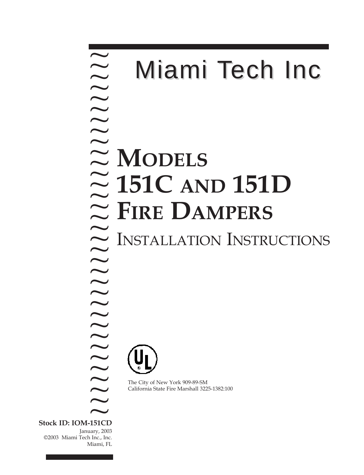## **MODELS 151C AND 151D**   $\approx$  FIRE DAMPERS INSTALLATION INSTRUCTIONS ~ ? ? ? ? ? ? ? ? ? ? ? ? ? ? ? ? ? ? ? ? Miami Tech Inc

The City of New York 909-89-SM California State Fire Marshall 3225-1382:100

**Stock ID: IOM-151CD** January, 2003 ©2003 Miami Tech Inc., Inc. Miami, FL  $\overline{\widetilde{\phantom{a}}}_{\phantom{a}151CL}$ 

? ? ? ? ? ? ? ? ? ? ?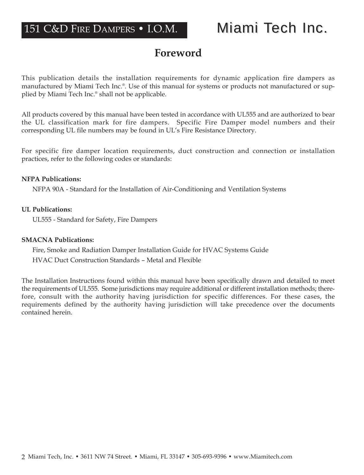# **Foreword**

This publication details the installation requirements for dynamic application fire dampers as manufactured by Miami Tech Inc.®. Use of this manual for systems or products not manufactured or supplied by Miami Tech Inc.® shall not be applicable.

All products covered by this manual have been tested in accordance with UL555 and are authorized to bear the UL classification mark for fire dampers. Specific Fire Damper model numbers and their corresponding UL file numbers may be found in UL's Fire Resistance Directory.

For specific fire damper location requirements, duct construction and connection or installation practices, refer to the following codes or standards:

### **NFPA Publications:**

NFPA 90A - Standard for the Installation of Air-Conditioning and Ventilation Systems

### **UL Publications:**

UL555 - Standard for Safety, Fire Dampers

### **SMACNA Publications:**

Fire, Smoke and Radiation Damper Installation Guide for HVAC Systems Guide HVAC Duct Construction Standards – Metal and Flexible

The Installation Instructions found within this manual have been specifically drawn and detailed to meet the requirements of UL555. Some jurisdictions may require additional or different installation methods; therefore, consult with the authority having jurisdiction for specific differences. For these cases, the requirements defined by the authority having jurisdiction will take precedence over the documents contained herein.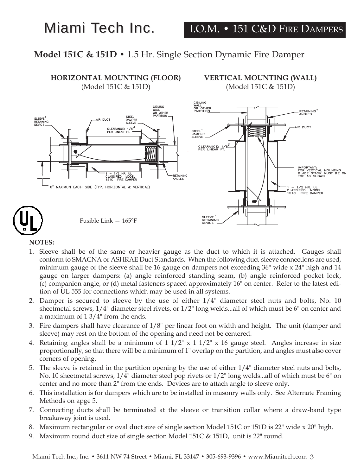# Miami Tech Inc.

## **Model 151C & 151D •** 1.5 Hr. Single Section Dynamic Fire Damper



### **NOTES:**

- 1. Sleeve shall be of the same or heavier gauge as the duct to which it is attached. Gauges shall conform to SMACNA or ASHRAE Duct Standards. When the following duct-sleeve connections are used, minimum gauge of the sleeve shall be 16 gauge on dampers not exceeding 36" wide x 24" high and 14 gauge on larger dampers: (a) angle reinforced standing seam, (b) angle reinforced pocket lock, (c) companion angle, or (d) metal fasteners spaced approximately 16" on center. Refer to the latest edition of UL 555 for connections which may be used in all systems.
- 2. Damper is secured to sleeve by the use of either 1/4" diameter steel nuts and bolts, No. 10 sheetmetal screws, 1/4" diameter steel rivets, or 1/2" long welds...all of which must be 6" on center and a maximum of 1 3/4" from the ends.
- 3. Fire dampers shall have clearance of  $1/8$ " per linear foot on width and height. The unit (damper and sleeve) may rest on the bottom of the opening and need not be centered.
- 4. Retaining angles shall be a minimum of  $1 \frac{1}{2}$ " x  $1 \frac{1}{2}$ " x 16 gauge steel. Angles increase in size proportionally, so that there will be a minimum of 1" overlap on the partition, and angles must also cover corners of opening.
- 5. The sleeve is retained in the partition opening by the use of either 1/4" diameter steel nuts and bolts, No. 10 sheetmetal screws, 1/4" diameter steel pop rivets or 1/2" long welds...all of which must be 6" on center and no more than 2" from the ends. Devices are to attach angle to sleeve only.
- 6. This installation is for dampers which are to be installed in masonry walls only. See Alternate Framing Methods on apge 5.
- 7. Connecting ducts shall be terminated at the sleeve or transition collar where a draw-band type breakaway joint is used.
- 8. Maximum rectangular or oval duct size of single section Model 151C or 151D is 22" wide x 20" high.
- 9. Maximum round duct size of single section Model 151C & 151D, unit is 22" round.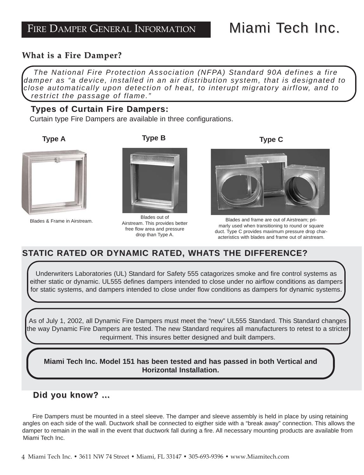# Miami Tech Inc.

## **What is a Fire Damper? What is a Fire Damper?**

*The National Fire Protection Association (NFPA) Standard 90A defines a fire damper as "a device, installed in an air distribution system, that is designated to close automatically upon detection of heat, to interupt migratory airflow, and to restrict the passage of flame."*

## **Types of Curtain Fire Dampers:**

Curtain type Fire Dampers are available in three configurations.





Blades & Frame in Airstream.



Blades out of Airstream. This provides better free flow area and pressure drop than Type A.

**Type C**



Blades and frame are out of Airstream; primarly used when transitioning to round or square duct. Type C provides maximum pressure drop characteristics with blades and frame out of airstream.

## **STATIC RATED OR DYNAMIC RATED, WHATS THE DIFFERENCE?**

Underwriters Laboratories (UL) Standard for Safety 555 catagorizes smoke and fire control systems as either static or dynamic. UL555 defines dampers intended to close under no airflow conditions as dampers for static systems, and dampers intended to close under flow conditions as dampers for dynamic systems.

As of July 1, 2002, all Dynamic Fire Dampers must meet the "new" UL555 Standard. This Standard changes the way Dynamic Fire Dampers are tested. The new Standard requires all manufacturers to retest to a stricter requirment. This insures better designed and built dampers.

**Miami Tech Inc. Model 151 has been tested and has passed in both Vertical and Horizontal Installation.**

## **Did you know? ... Did you know? ...**

Fire Dampers must be mounted in a steel sleeve. The damper and sleeve assembly is held in place by using retaining angles on each side of the wall. Ductwork shall be connected to eigther side with a "break away" connection. This allows the damper to remain in the wall in the event that ductwork fall during a fire. All necessary mounting products are available from Miami Tech Inc.